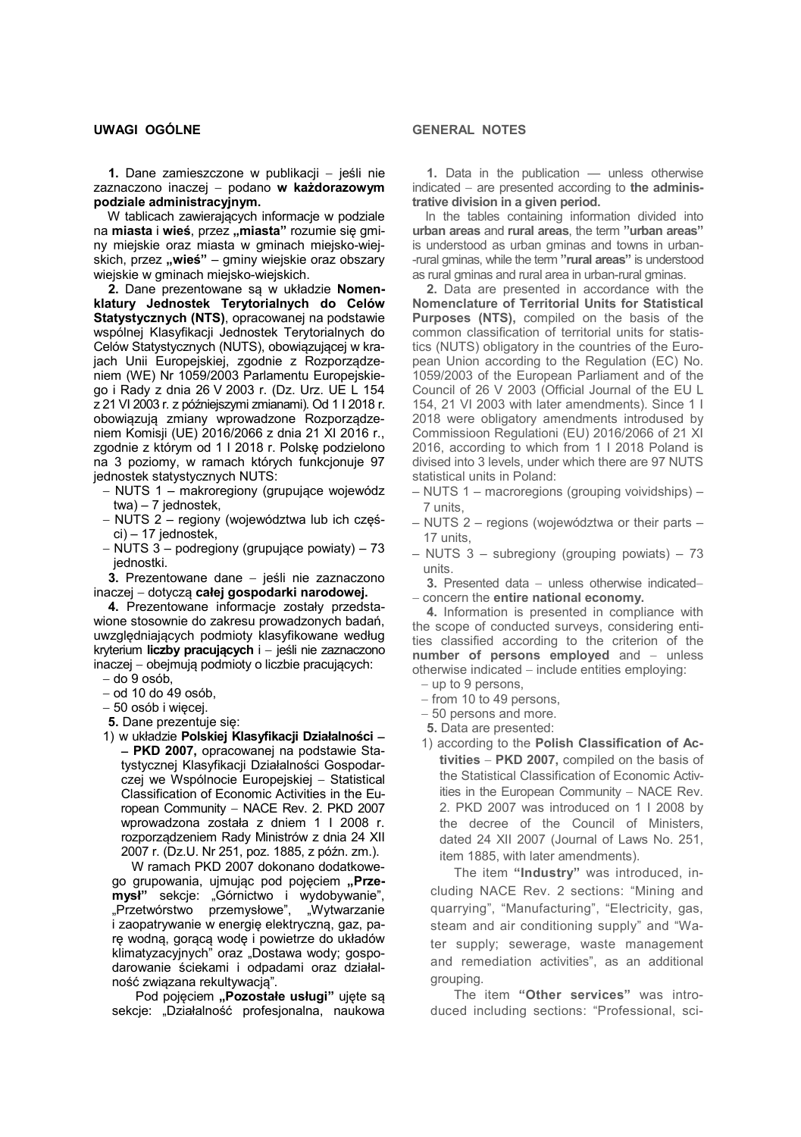**1.** Dane zamieszczone w publikacji − jeśli nie zaznaczono inaczej − podano **w każdorazowym podziale administracyjnym.**

W tablicach zawierających informacje w podziale na miasta i wieś, przez "miasta" rozumie się gminy miejskie oraz miasta w gminach miejsko-wiejskich, przez "wieś" – gminy wiejskie oraz obszary wiejskie w gminach miejsko-wiejskich.

 **2.** Dane prezentowane są w układzie **Nomenklatury Jednostek Terytorialnych do Celów Statystycznych (NTS)**, opracowanej na podstawie wspólnej Klasyfikacji Jednostek Terytorialnych do Celów Statystycznych (NUTS), obowiązującej w krajach Unii Europejskiej, zgodnie z Rozporządzeniem (WE) Nr 1059/2003 Parlamentu Europejskiego i Rady z dnia 26 V 2003 r. (Dz. Urz. UE L 154 z 21 VI 2003 r. z późniejszymi zmianami). Od 1 I 2018 r. obowiązują zmiany wprowadzone Rozporządzeniem Komisji (UE) 2016/2066 z dnia 21 XI 2016 r., zgodnie z którym od 1 I 2018 r. Polskę podzielono na 3 poziomy, w ramach których funkcjonuje 97 jednostek statystycznych NUTS:

- − NUTS 1 makroregiony (grupujące wojewódz twa) – 7 jednostek,
- − NUTS 2 regiony (województwa lub ich częś ci) – 17 jednostek,
- − NUTS 3 podregiony (grupujące powiaty) 73 jednostki.

 **3.** Prezentowane dane − jeśli nie zaznaczono inaczej − dotyczą **całej gospodarki narodowej.**

 **4.** Prezentowane informacje zostały przedstawione stosownie do zakresu prowadzonych badań, uwzględniających podmioty klasyfikowane według kryterium **liczby pracujących** i − jeśli nie zaznaczono inaczej − obejmują podmioty o liczbie pracujących: − do 9 osób,

- 
- − od 10 do 49 osób, − 50 osób i więcej.
- **5.** Dane prezentuje się:
- 1) w układzie **Polskiej Klasyfikacji Działalności** − − **PKD 2007,** opracowanej na podstawie Statystycznej Klasyfikacji Działalności Gospodarczej we Wspólnocie Europejskiej − Statistical Classification of Economic Activities in the European Community - NACE Rev. 2. PKD 2007 wprowadzona została z dniem 1 I 2008 r. rozporządzeniem Rady Ministrów z dnia 24 XII 2007 r. (Dz.U. Nr 251, poz. 1885, z późn. zm.).

 W ramach PKD 2007 dokonano dodatkowego grupowania, ujmując pod pojęciem "Prze**mysł**" sekcje: "Górnictwo i wydobywanie", "Przetwórstwo przemysłowe", "Wytwarzanie i zaopatrywanie w energię elektryczną, gaz, parę wodną, gorącą wodę i powietrze do układów klimatyzacyjnych" oraz "Dostawa wody; gospodarowanie ściekami i odpadami oraz działalność związana rekultywacją".

Pod pojęciem "Pozostałe usługi" ujęte są sekcje: "Działalność profesjonalna, naukowa

## **GENERAL NOTES**

 **1.** Data in the publication — unless otherwise indicated − are presented according to **the administrative division in a given period.**

In the tables containing information divided into **urban areas** and **rural areas**, the term **"urban areas"** is understood as urban gminas and towns in urban- -rural gminas, while the term **"rural areas"** is understood as rural gminas and rural area in urban-rural gminas.

 **2.** Data are presented in accordance with the **Nomenclature of Territorial Units for Statistical Purposes (NTS),** compiled on the basis of the common classification of territorial units for statistics (NUTS) obligatory in the countries of the European Union according to the Regulation (EC) No. 1059/2003 of the European Parliament and of the Council of 26 V 2003 (Official Journal of the EU L 154, 21 VI 2003 with later amendments). Since 1 I 2018 were obligatory amendments introdused by Commissioon Regulationi (EU) 2016/2066 of 21 XI 2016, according to which from 1 I 2018 Poland is divised into 3 levels, under which there are 97 NUTS statistical units in Poland:

- NUTS 1 macroregions (grouping voividships) 7 units,
- NUTS 2 regions (województwa or their parts 17 units,
- NUTS 3 subregiony (grouping powiats) 73 units.

**3.** Presented data − unless otherwise indicated– − concern the **entire national economy.**

 **4.** Information is presented in compliance with the scope of conducted surveys, considering entities classified according to the criterion of the **number of persons employed** and − unless otherwise indicated − include entities employing:

- − up to 9 persons,
- − from 10 to 49 persons,
- − 50 persons and more.
- **5.** Data are presented:
- 1) according to the **Polish Classification of Activities** − **PKD 2007,** compiled on the basis of the Statistical Classification of Economic Activities in the European Community − NACE Rev. 2. PKD 2007 was introduced on 1 I 2008 by the decree of the Council of Ministers, dated 24 XII 2007 (Journal of Laws No. 251, item 1885, with later amendments).

 The item **"Industry"** was introduced, including NACE Rev. 2 sections: "Mining and quarrying", "Manufacturing", "Electricity, gas, steam and air conditioning supply" and "Water supply; sewerage, waste management and remediation activities", as an additional grouping.

 The item **"Other services"** was introduced including sections: "Professional, sci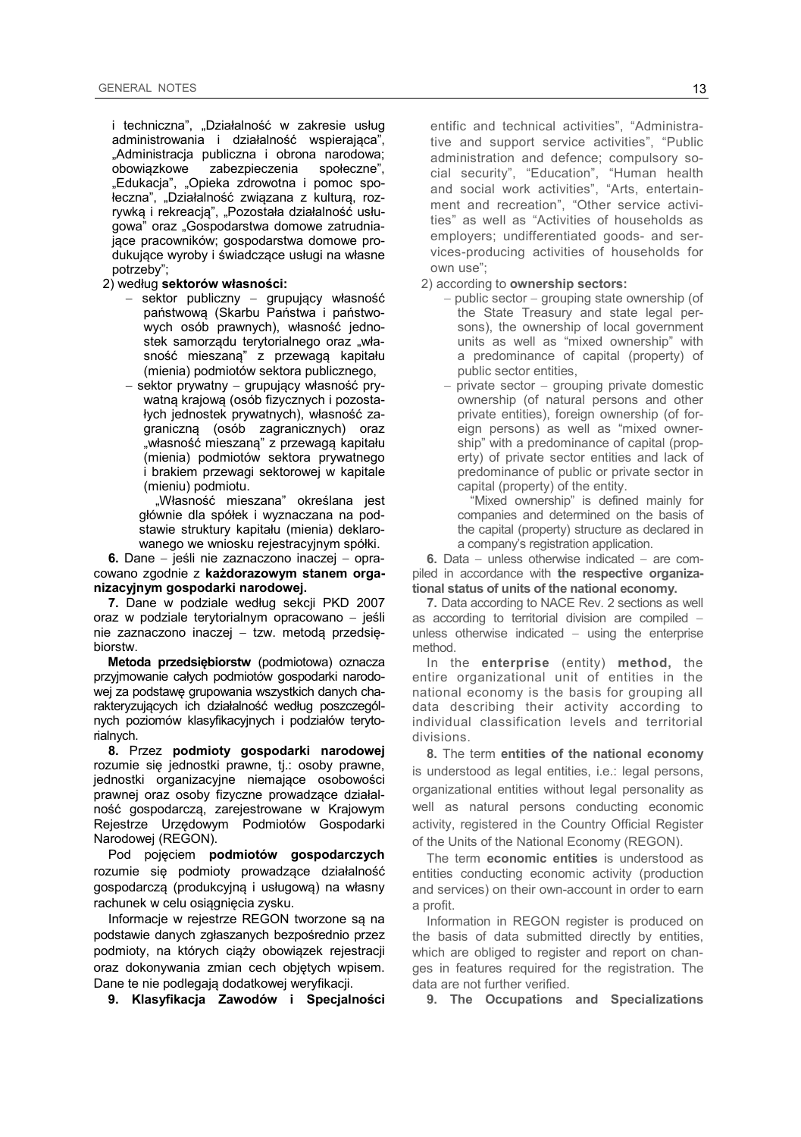i techniczna", "Działalność w zakresie usług administrowania i działalność wspierająca", "Administracja publiczna i obrona narodowa;<br>obowiązkowe zabezpieczenia społeczne", zabezpieczenia "Edukacja", "Opieka zdrowotna i pomoc społeczna", "Działalność związana z kulturą, rozrywką i rekreacją", "Pozostała działalność usługowa" oraz "Gospodarstwa domowe zatrudniające pracowników; gospodarstwa domowe produkujące wyroby i świadczące usługi na własne potrzeby";

- 2) według **sektorów własności:**
	- − sektor publiczny − grupujący własność państwową (Skarbu Państwa i państwowych osób prawnych), własność jednostek samorządu terytorialnego oraz "własność mieszaną" z przewagą kapitału (mienia) podmiotów sektora publicznego,
	- − sektor prywatny − grupujący własność prywatną krajową (osób fizycznych i pozostałych jednostek prywatnych), własność zagraniczną (osób zagranicznych) oraz "własność mieszaną" z przewagą kapitału (mienia) podmiotów sektora prywatnego i brakiem przewagi sektorowej w kapitale (mieniu) podmiotu.

"Własność mieszana" określana jest głównie dla spółek i wyznaczana na podstawie struktury kapitału (mienia) deklarowanego we wniosku rejestracyjnym spółki.

 **6.** Dane − jeśli nie zaznaczono inaczej − opracowano zgodnie z **każdorazowym stanem organizacyjnym gospodarki narodowej.**

 **7.** Dane w podziale według sekcji PKD 2007 oraz w podziale terytorialnym opracowano − jeśli nie zaznaczono inaczej − tzw. metodą przedsiębiorstw.

 **Metoda przedsiębiorstw** (podmiotowa) oznacza przyjmowanie całych podmiotów gospodarki narodowej za podstawę grupowania wszystkich danych charakteryzujących ich działalność według poszczególnych poziomów klasyfikacyjnych i podziałów terytorialnych.

 **8.** Przez **podmioty gospodarki narodowej**  rozumie się jednostki prawne, tj.: osoby prawne, jednostki organizacyjne niemające osobowości prawnej oraz osoby fizyczne prowadzące działalność gospodarczą, zarejestrowane w Krajowym Rejestrze Urzędowym Podmiotów Gospodarki Narodowej (REGON).

 Pod pojęciem **podmiotów gospodarczych**  rozumie się podmioty prowadzące działalność gospodarczą (produkcyjną i usługową) na własny rachunek w celu osiągnięcia zysku.

 Informacje w rejestrze REGON tworzone są na podstawie danych zgłaszanych bezpośrednio przez podmioty, na których ciąży obowiązek rejestracji oraz dokonywania zmian cech objętych wpisem. Dane te nie podlegają dodatkowej weryfikacji.

 **9. Klasyfikacja Zawodów i Specjalności** 

entific and technical activities", "Administrative and support service activities", "Public administration and defence; compulsory social security", "Education", "Human health and social work activities", "Arts, entertainment and recreation", "Other service activities" as well as "Activities of households as employers; undifferentiated goods- and services-producing activities of households for own use";

- 2) according to **ownership sectors:**
	- − public sector − grouping state ownership (of the State Treasury and state legal persons), the ownership of local government units as well as "mixed ownership" with a predominance of capital (property) of public sector entities,
	- private sector grouping private domestic ownership (of natural persons and other private entities), foreign ownership (of foreign persons) as well as "mixed ownership" with a predominance of capital (property) of private sector entities and lack of predominance of public or private sector in capital (property) of the entity.

"Mixed ownership" is defined mainly for companies and determined on the basis of the capital (property) structure as declared in a company's registration application.

 **6.** Data − unless otherwise indicated − are compiled in accordance with **the respective organizational status of units of the national economy.**

 **7.** Data according to NACE Rev. 2 sections as well as according to territorial division are compiled − unless otherwise indicated − using the enterprise method.

 In the **enterprise** (entity) **method,** the entire organizational unit of entities in the national economy is the basis for grouping all data describing their activity according to individual classification levels and territorial divisions.

 **8.** The term **entities of the national economy**  is understood as legal entities, i.e.: legal persons, organizational entities without legal personality as well as natural persons conducting economic activity, registered in the Country Official Register of the Units of the National Economy (REGON).

 The term **economic entities** is understood as entities conducting economic activity (production and services) on their own-account in order to earn a profit.

 Information in REGON register is produced on the basis of data submitted directly by entities, which are obliged to register and report on changes in features required for the registration. The data are not further verified.

 **9. The Occupations and Specializations**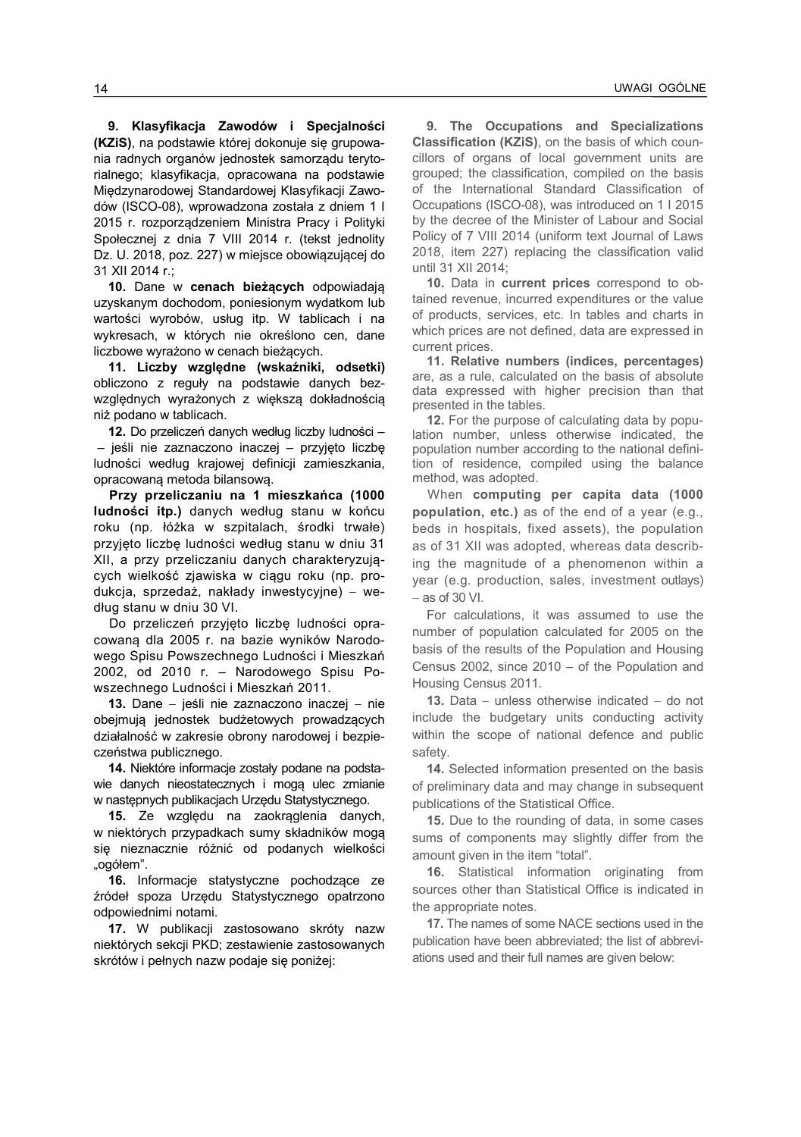**9. Klasyfikacja Zawodów i Specjalności (KZiS)**, na podstawie której dokonuje się grupowania radnych organów jednostek samorządu terytorialnego; klasyfikacja, opracowana na podstawie Międzynarodowej Standardowej Klasyfikacji Zawodów (ISCO-08), wprowadzona została z dniem 1 I 2015 r. rozporządzeniem Ministra Pracy i Polityki Społecznej z dnia 7 VIII 2014 r. (tekst jednolity Dz. U. 2018, poz. 227) w miejsce obowiązującej do 31 XII 2014 r.;

 **10.** Dane w **cenach bieżących** odpowiadają uzyskanym dochodom, poniesionym wydatkom lub wartości wyrobów, usług itp. W tablicach i na wykresach, w których nie określono cen, dane liczbowe wyrażono w cenach bieżących.

 **11. Liczby względne (wskaźniki, odsetki)**  obliczono z reguły na podstawie danych bezwzględnych wyrażonych z większą dokładnością niż podano w tablicach.

 **12.** Do przeliczeń danych według liczby ludności – – jeśli nie zaznaczono inaczej – przyjęto liczbę ludności według krajowej definicji zamieszkania, opracowaną metoda bilansową.

 **Przy przeliczaniu na 1 mieszkańca (1000 ludności itp.)** danych według stanu w końcu roku (np. łóżka w szpitalach, środki trwałe) przyjęto liczbę ludności według stanu w dniu 31 XII, a przy przeliczaniu danych charakteryzujących wielkość zjawiska w ciągu roku (np. produkcja, sprzedaż, nakłady inwestycyjne) − według stanu w dniu 30 VI.

 Do przeliczeń przyjęto liczbę ludności opracowaną dla 2005 r. na bazie wyników Narodowego Spisu Powszechnego Ludności i Mieszkań 2002, od 2010 r. – Narodowego Spisu Powszechnego Ludności i Mieszkań 2011.

 **13.** Dane − jeśli nie zaznaczono inaczej − nie obejmują jednostek budżetowych prowadzących działalność w zakresie obrony narodowej i bezpieczeństwa publicznego.

 **14.** Niektóre informacje zostały podane na podstawie danych nieostatecznych i mogą ulec zmianie w następnych publikacjach Urzędu Statystycznego.

 **15.** Ze względu na zaokrąglenia danych, w niektórych przypadkach sumy składników mogą się nieznacznie różnić od podanych wielkości "ogółem".

 **16.** Informacje statystyczne pochodzące ze źródeł spoza Urzędu Statystycznego opatrzono odpowiednimi notami.

 **17.** W publikacji zastosowano skróty nazw niektórych sekcji PKD; zestawienie zastosowanych skrótów i pełnych nazw podaje się poniżej:

 **9. The Occupations and Specializations Classification (KZiS)**, on the basis of which councillors of organs of local government units are grouped; the classification, compiled on the basis of the International Standard Classification of Occupations (ISCO-08), was introduced on 1 I 2015 by the decree of the Minister of Labour and Social Policy of 7 VIII 2014 (uniform text Journal of Laws 2018, item 227) replacing the classification valid until 31 XII 2014;

 **10.** Data in **current prices** correspond to obtained revenue, incurred expenditures or the value of products, services, etc. In tables and charts in which prices are not defined, data are expressed in current prices.

 **11. Relative numbers (indices, percentages)**  are, as a rule, calculated on the basis of absolute data expressed with higher precision than that presented in the tables.

 **12.** For the purpose of calculating data by population number, unless otherwise indicated, the population number according to the national definition of residence, compiled using the balance method, was adopted.

 When **computing per capita data (1000 population, etc.)** as of the end of a year (e.g., beds in hospitals, fixed assets), the population as of 31 XII was adopted, whereas data describing the magnitude of a phenomenon within a year (e.g. production, sales, investment outlays) − as of 30 VI.

 For calculations, it was assumed to use the number of population calculated for 2005 on the basis of the results of the Population and Housing Census 2002, since 2010 – of the Population and Housing Census 2011.

 **13.** Data − unless otherwise indicated − do not include the budgetary units conducting activity within the scope of national defence and public safety.

 **14.** Selected information presented on the basis of preliminary data and may change in subsequent publications of the Statistical Office.

 **15.** Due to the rounding of data, in some cases sums of components may slightly differ from the amount given in the item "total".

 **16.** Statistical information originating from sources other than Statistical Office is indicated in the appropriate notes.

 **17.** The names of some NACE sections used in the publication have been abbreviated; the list of abbreviations used and their full names are given below: